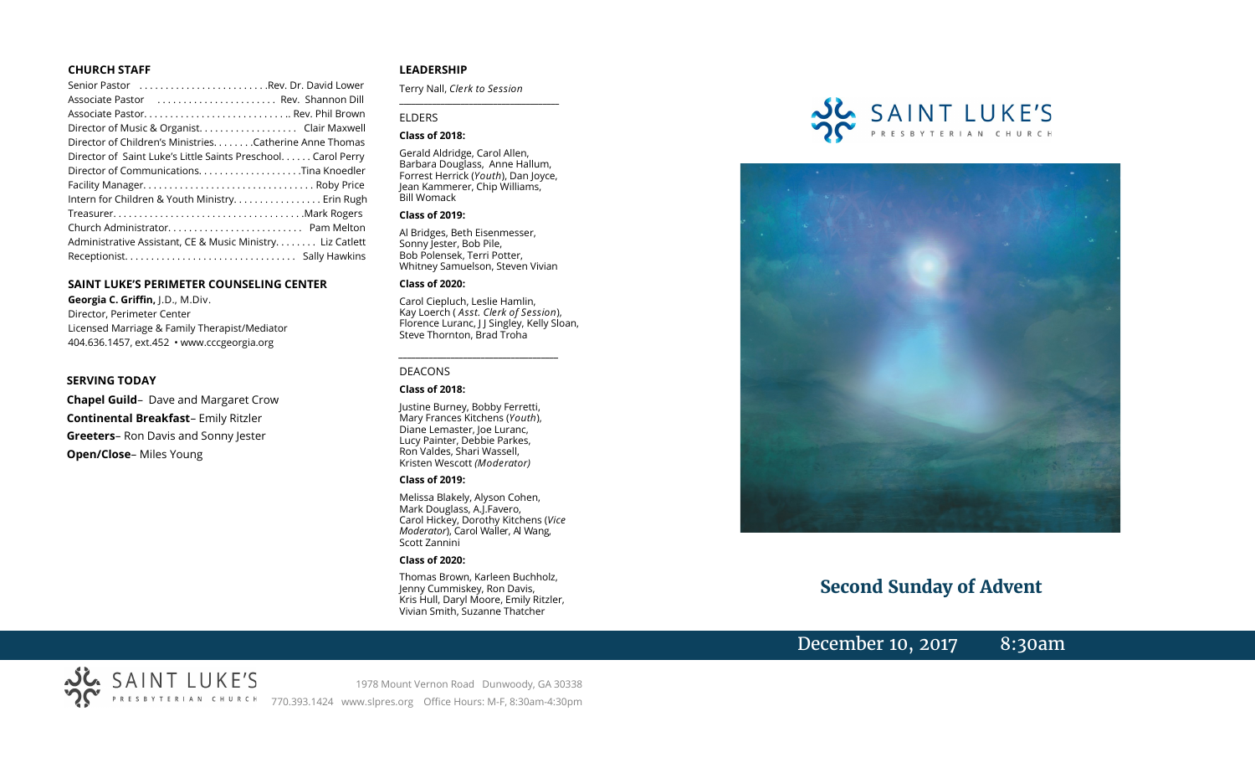#### **CHURCH STAFF**

| Senior Pastor Rev. Dr. David Lower                           |  |
|--------------------------------------------------------------|--|
| Associate Pastor  Rev. Shannon Dill                          |  |
|                                                              |  |
| Director of Music & Organist. Clair Maxwell                  |  |
| Director of Children's Ministries. Catherine Anne Thomas     |  |
| Director of Saint Luke's Little Saints Preschool Carol Perry |  |
|                                                              |  |
|                                                              |  |
| Intern for Children & Youth Ministry Erin Rugh               |  |
|                                                              |  |
|                                                              |  |
| Administrative Assistant, CE & Music Ministry Liz Catlett    |  |
|                                                              |  |

#### **SAINT LUKE'S PERIMETER COUNSELING CENTER**

**Georgia C. Griffin,** J.D., M.Div. Director, Perimeter Center Licensed Marriage & Family Therapist/Mediator 404.636.1457, ext.452 • www.cccgeorgia.org

#### **SERVING TODAY**

**Chapel Guild**– Dave and Margaret Crow **Continental Breakfast**– Emily Ritzler **Greeters**– Ron Davis and Sonny Jester **Open/Close**– Miles Young

#### **LEADERSHIP**

Terry Nall, *Clerk to Session* 

**\_\_\_\_\_\_\_\_\_\_\_\_\_\_\_\_\_\_\_\_\_\_\_\_\_\_\_\_\_\_\_\_\_\_\_\_\_\_\_**

#### ELDERS

#### **Class of 2018:**

Gerald Aldridge, Carol Allen, Barbara Douglass, Anne Hallum, Forrest Herrick (*Youth*), Dan Joyce, Jean Kammerer, Chip Williams, Bill Womack

#### **Class of 2019:**

Al Bridges, Beth Eisenmesser, Sonny Jester, Bob Pile, Bob Polensek, Terri Potter, Whitney Samuelson, Steven Vivian

#### **Class of 2020:**

Carol Ciepluch, Leslie Hamlin, Kay Loerch ( *Asst. Clerk of Session*), Florence Luranc, J J Singley, Kelly Sloan, Steve Thornton, Brad Troha

*\_\_\_\_\_\_\_\_\_\_\_\_\_\_\_\_\_\_\_\_\_\_\_\_\_\_\_\_\_\_\_\_\_\_\_\_\_*

#### DEACONS

#### **Class of 2018:**

Justine Burney, Bobby Ferretti, Mary Frances Kitchens (*Youth*), Diane Lemaster, Joe Luranc, Lucy Painter, Debbie Parkes, Ron Valdes, Shari Wassell, Kristen Wescott *(Moderator)*

#### **Class of 2019:**

Melissa Blakely, Alyson Cohen, Mark Douglass, A.J.Favero, Carol Hickey, Dorothy Kitchens (*Vice Moderator*), Carol Waller, Al Wang, Scott Zannini

#### **Class of 2020:**

Thomas Brown, Karleen Buchholz, Jenny Cummiskey, Ron Davis, Kris Hull, Daryl Moore, Emily Ritzler, Vivian Smith, Suzanne Thatcher





# **Second Sunday of Advent**

December 10, 2017 8:30am

SAINT LUKE'S 1978 Mount Vernon Road Dunwoody, GA 30338 770.393.1424 www.slpres.org Office Hours: M-F, 8:30am-4:30pm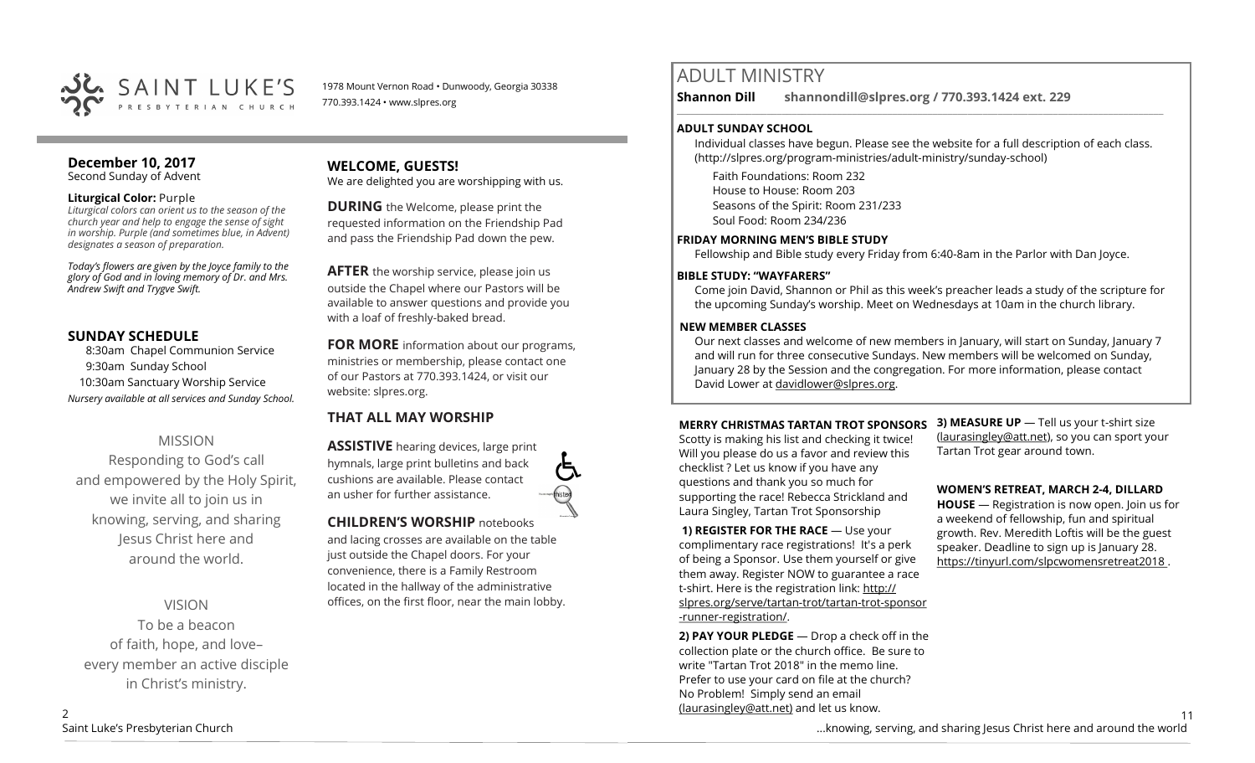

1978 Mount Vernon Road • Dunwoody, Georgia 30338 770.393.1424 • www.slpres.org

# **December 10, 2017**

Second Sunday of Advent

#### **Liturgical Color:** Purple

*Liturgical colors can orient us to the season of the church year and help to engage the sense of sight in worship. Purple (and sometimes blue, in Advent) designates a season of preparation.*

*Today's flowers are given by the Joyce family to the glory of God and in loving memory of Dr. and Mrs. Andrew Swift and Trygve Swift.*

# **SUNDAY SCHEDULE**

8:30am Chapel Communion Service 9:30am Sunday School 10:30am Sanctuary Worship Service *Nursery available at all services and Sunday School.*

# MISSION Responding to God's call and empowered by the Holy Spirit, we invite all to join us in knowing, serving, and sharing Jesus Christ here and around the world.

VISION

To be a beacon of faith, hope, and love– every member an active disciple in Christ's ministry.

# **WELCOME, GUESTS!**

We are delighted you are worshipping with us.

**DURING** the Welcome, please print the requested information on the Friendship Pad and pass the Friendship Pad down the pew.

**AFTER** the worship service, please join us outside the Chapel where our Pastors will be available to answer questions and provide you with a loaf of freshly-baked bread.

**FOR MORE** information about our programs, ministries or membership, please contact one of our Pastors at 770.393.1424, or visit our website: slpres.org.

# **THAT ALL MAY WORSHIP**

**ASSISTIVE** hearing devices, large print hymnals, large print bulletins and back cushions are available. Please contact an usher for further assistance.

### **CHILDREN'S WORSHIP** notebooks

and lacing crosses are available on the table just outside the Chapel doors. For your convenience, there is a Family Restroom located in the hallway of the administrative offices, on the first floor, near the main lobby.

# ADULT MINISTRY

**Shannon Dill shannondill@slpres.org / 770.393.1424 ext. 229**   $\_$  ,  $\_$  ,  $\_$  ,  $\_$  ,  $\_$  ,  $\_$  ,  $\_$  ,  $\_$  ,  $\_$  ,  $\_$  ,  $\_$  ,  $\_$  ,  $\_$  ,  $\_$  ,  $\_$  ,  $\_$  ,  $\_$  ,  $\_$  ,  $\_$  ,  $\_$ 

### **ADULT SUNDAY SCHOOL**

Individual classes have begun. Please see the website for a full description of each class. (http://slpres.org/program-ministries/adult-ministry/sunday-school)

Faith Foundations: Room 232 House to House: Room 203 Seasons of the Spirit: Room 231/233 Soul Food: Room 234/236

### **FRIDAY MORNING MEN'S BIBLE STUDY**

Fellowship and Bible study every Friday from 6:40-8am in the Parlor with Dan Joyce.

# **BIBLE STUDY: "WAYFARERS"**

Come join David, Shannon or Phil as this week's preacher leads a study of the scripture for the upcoming Sunday's worship. Meet on Wednesdays at 10am in the church library.

## **NEW MEMBER CLASSES**

Our next classes and welcome of new members in January, will start on Sunday, January 7 and will run for three consecutive Sundays. New members will be welcomed on Sunday, January 28 by the Session and the congregation. For more information, please contact David Lower at davidlower@slpres.org.

# **MERRY CHRISTMAS TARTAN TROT SPONSORS**

Scotty is making his list and checking it twice! Will you please do us a favor and review this checklist ? Let us know if you have any questions and thank you so much for supporting the race! Rebecca Strickland and Laura Singley, Tartan Trot Sponsorship

**1) REGISTER FOR THE RACE** — Use your complimentary race registrations! It's a perk of being a Sponsor. Use them yourself or give them away. Register NOW to guarantee a race t-shirt. Here is the registration link: [http://](http://slpres.org/serve/tartan-trot/tartan-trot-sponsor-runner-registration/) [slpres.org/serve/tartan](http://slpres.org/serve/tartan-trot/tartan-trot-sponsor-runner-registration/)-trot/tartan-trot-sponsor -runner-[registration/.](http://slpres.org/serve/tartan-trot/tartan-trot-sponsor-runner-registration/)

**2) PAY YOUR PLEDGE** — Drop a check off in the collection plate or the church office. Be sure to write "Tartan Trot 2018" in the memo line. Prefer to use your card on file at the church? No Problem! Simply send an email [\(laurasingley@att.net\)](mailto:laurasingley@att.net) and let us know.

**3) MEASURE UP** - Tell us your t-shirt size [\(laurasingley@att.net\),](mailto:laurasingley@att.net) so you can sport your Tartan Trot gear around town.

### **WOMEN'S RETREAT, MARCH 2-4, DILLARD**

**HOUSE** — Registration is now open. Join us for a weekend of fellowship, fun and spiritual growth. Rev. Meredith Loftis will be the guest speaker. Deadline to sign up is January 28. https://tinyurl.com/slpcwomensretreat2018 .

11 ...knowing, serving, and sharing Jesus Christ here and around the world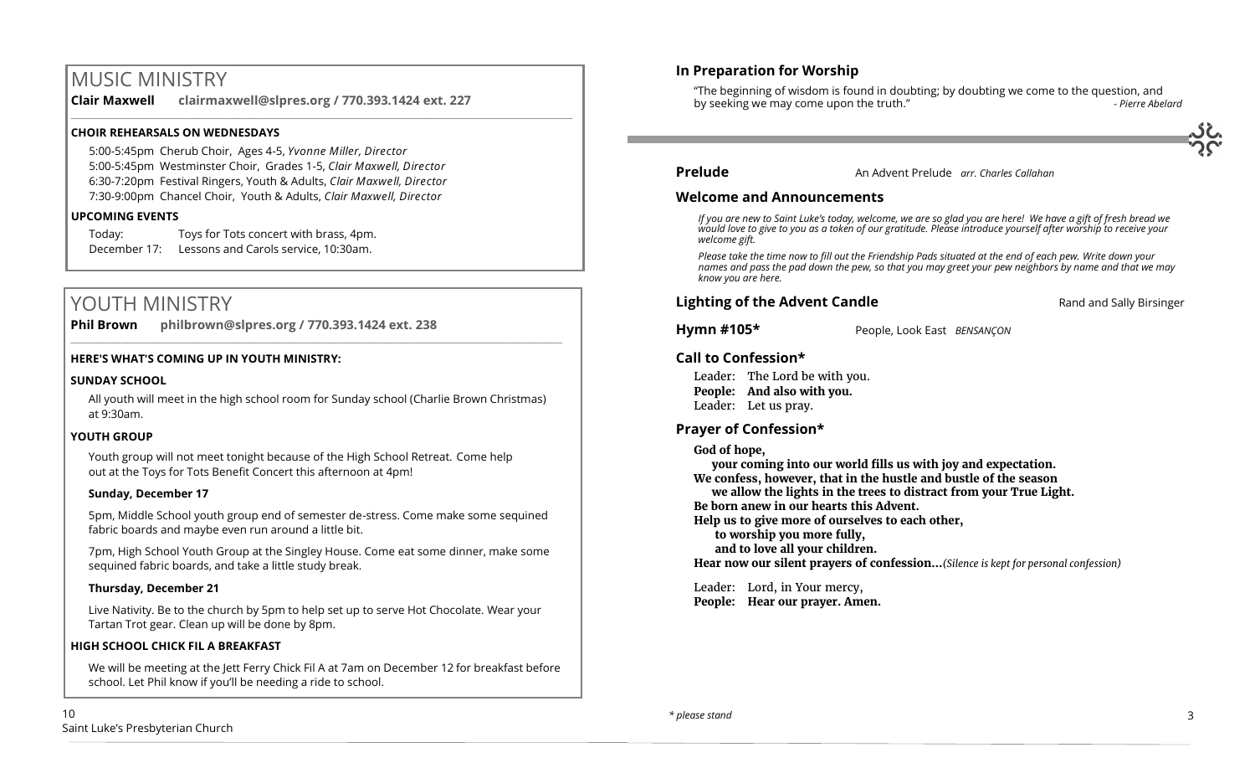# MUSIC MINISTRY

**Clair Maxwell clairmaxwell@slpres.org / 770.393.1424 ext. 227**  \_\_\_\_\_\_\_\_\_\_\_\_\_\_\_\_\_\_\_\_\_\_\_\_\_\_\_\_\_\_\_\_\_\_\_\_\_\_\_\_\_\_\_\_\_\_\_\_\_\_\_\_\_\_\_\_\_\_\_\_\_\_\_\_\_\_\_\_\_\_\_\_\_\_\_\_\_\_\_\_\_\_\_\_\_\_\_\_\_\_\_\_\_\_\_\_\_\_\_\_

## **CHOIR REHEARSALS ON WEDNESDAYS**

5:00-5:45pm Cherub Choir, Ages 4-5, *Yvonne Miller, Director*  5:00-5:45pm Westminster Choir, Grades 1-5, *Clair Maxwell, Director*  6:30-7:20pm Festival Ringers, Youth & Adults, *Clair Maxwell, Director*  7:30-9:00pm Chancel Choir, Youth & Adults, *Clair Maxwell, Director*

#### **UPCOMING EVENTS**

Today: Toys for Tots concert with brass, 4pm. December 17: Lessons and Carols service, 10:30am.

# YOUTH MINISTRY

**Phil Brown philbrown@slpres.org / 770.393.1424 ext. 238**   $\_$  ,  $\_$  ,  $\_$  ,  $\_$  ,  $\_$  ,  $\_$  ,  $\_$  ,  $\_$  ,  $\_$  ,  $\_$  ,  $\_$  ,  $\_$  ,  $\_$  ,  $\_$  ,  $\_$  ,  $\_$  ,  $\_$  ,  $\_$  ,  $\_$  ,  $\_$ 

### **HERE'S WHAT'S COMING UP IN YOUTH MINISTRY:**

#### **SUNDAY SCHOOL**

All youth will meet in the high school room for Sunday school (Charlie Brown Christmas) at 9:30am.

#### **YOUTH GROUP**

Youth group will not meet tonight because of the High School Retreat. Come help out at the Toys for Tots Benefit Concert this afternoon at 4pm!

#### **Sunday, December 17**

5pm, Middle School youth group end of semester de-stress. Come make some sequined fabric boards and maybe even run around a little bit.

7pm, High School Youth Group at the Singley House. Come eat some dinner, make some sequined fabric boards, and take a little study break.

### **Thursday, December 21**

Live Nativity. Be to the church by 5pm to help set up to serve Hot Chocolate. Wear your Tartan Trot gear. Clean up will be done by 8pm.

#### **HIGH SCHOOL CHICK FIL A BREAKFAST**

We will be meeting at the Jett Ferry Chick Fil A at 7am on December 12 for breakfast before school. Let Phil know if you'll be needing a ride to school.

"The beginning of wisdom is found in doubting; by doubting we come to the question, and by seeking we may come upon the truth."



# **Prelude** An Advent Prelude *arr. Charles Callahan*

### **Welcome and Announcements**

*If you are new to Saint Luke's today, welcome, we are so glad you are here! We have a gift of fresh bread we would love to give to you as a token of our gratitude. Please introduce yourself after worship to receive your welcome gift.*

*Please take the time now to fill out the Friendship Pads situated at the end of each pew. Write down your names and pass the pad down the pew, so that you may greet your pew neighbors by name and that we may know you are here.*

**Lighting of the Advent Candle Rand and Sally Birsinger Lighting of the Advent Candle** 

**Hymn #105\*** People, Look East *BENSANÇON* 

# **Call to Confession\***

Leader: The Lord be with you. **People: And also with you.** Leader: Let us pray.

# **Prayer of Confession\***

**God of hope,**

**your coming into our world fills us with joy and expectation. We confess, however, that in the hustle and bustle of the season we allow the lights in the trees to distract from your True Light. Be born anew in our hearts this Advent. Help us to give more of ourselves to each other, to worship you more fully, and to love all your children. Hear now our silent prayers of confession…***(Silence is kept for personal confession)* 

 Leader: Lord, in Your mercy, **People: Hear our prayer. Amen.**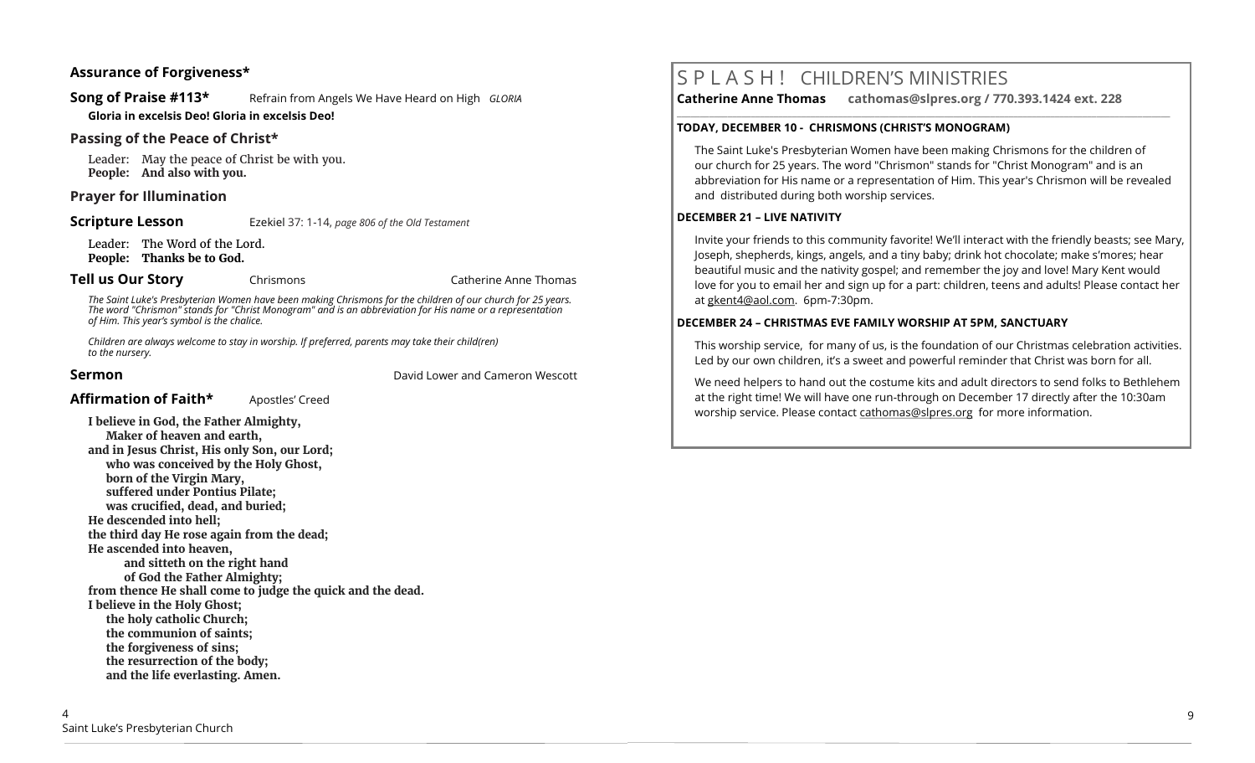## **Assurance of Forgiveness\***

**Song of Praise #113\*** Refrain from Angels We Have Heard on High *GLORIA* 

**Gloria in excelsis Deo! Gloria in excelsis Deo!**

# **Passing of the Peace of Christ\***

Leader: May the peace of Christ be with you. **People: And also with you.**

# **Prayer for Illumination**

**Scripture Lesson** Ezekiel 37: 1-14, *page 806 of the Old Testament* 

Leader: The Word of the Lord. **People: Thanks be to God.**

**Tell us Our Story** Chrismons Chrismons Catherine Anne Thomas

*The Saint Luke's Presbyterian Women have been making Chrismons for the children of our church for 25 years. The word "Chrismon" stands for "Christ Monogram" and is an abbreviation for His name or a representation of Him. This year's symbol is the chalice.*

*Children are always welcome to stay in worship. If preferred, parents may take their child(ren) to the nursery.*

**Sermon** David Lower and Cameron Wescott

# Affirmation of Faith\* Apostles' Creed

**I believe in God, the Father Almighty, Maker of heaven and earth, and in Jesus Christ, His only Son, our Lord; who was conceived by the Holy Ghost, born of the Virgin Mary, suffered under Pontius Pilate; was crucified, dead, and buried; He descended into hell; the third day He rose again from the dead; He ascended into heaven, and sitteth on the right hand of God the Father Almighty; from thence He shall come to judge the quick and the dead. I believe in the Holy Ghost; the holy catholic Church; the communion of saints; the forgiveness of sins; the resurrection of the body; and the life everlasting. Amen.**

# S P L A S H ! CHILDREN'S MINISTRIES

**Catherine Anne Thomas cathomas@slpres.org / 770.393.1424 ext. 228** 

#### **TODAY, DECEMBER 10 - CHRISMONS (CHRIST'S MONOGRAM)**

The Saint Luke's Presbyterian Women have been making Chrismons for the children of our church for 25 years. The word "Chrismon" stands for "Christ Monogram" and is an abbreviation for His name or a representation of Him. This year's Chrismon will be revealed and distributed during both worship services.

**\_\_\_\_\_\_\_\_\_\_\_\_\_\_\_\_\_\_\_\_\_\_\_\_\_\_\_\_\_\_\_\_\_\_\_\_\_\_\_\_\_\_\_\_\_\_\_\_\_\_\_\_\_\_\_\_\_\_\_\_\_\_\_\_\_\_\_\_\_\_\_\_\_\_\_\_\_\_\_\_\_\_\_\_\_\_\_\_\_\_\_\_\_\_\_\_\_\_\_\_\_\_\_\_\_\_\_** 

#### **DECEMBER 21 – LIVE NATIVITY**

Invite your friends to this community favorite! We'll interact with the friendly beasts; see Mary, Joseph, shepherds, kings, angels, and a tiny baby; drink hot chocolate; make s'mores; hear beautiful music and the nativity gospel; and remember the joy and love! Mary Kent would love for you to email her and sign up for a part: children, teens and adults! Please contact her at gkent4@aol.com. 6pm-7:30pm.

### **DECEMBER 24 – CHRISTMAS EVE FAMILY WORSHIP AT 5PM, SANCTUARY**

This worship service, for many of us, is the foundation of our Christmas celebration activities. Led by our own children, it's a sweet and powerful reminder that Christ was born for all.

We need helpers to hand out the costume kits and adult directors to send folks to Bethlehem at the right time! We will have one run-through on December 17 directly after the 10:30am worship service. Please contact [cathomas@slpres.org](mailto:cathomas@slpres.org) for more information.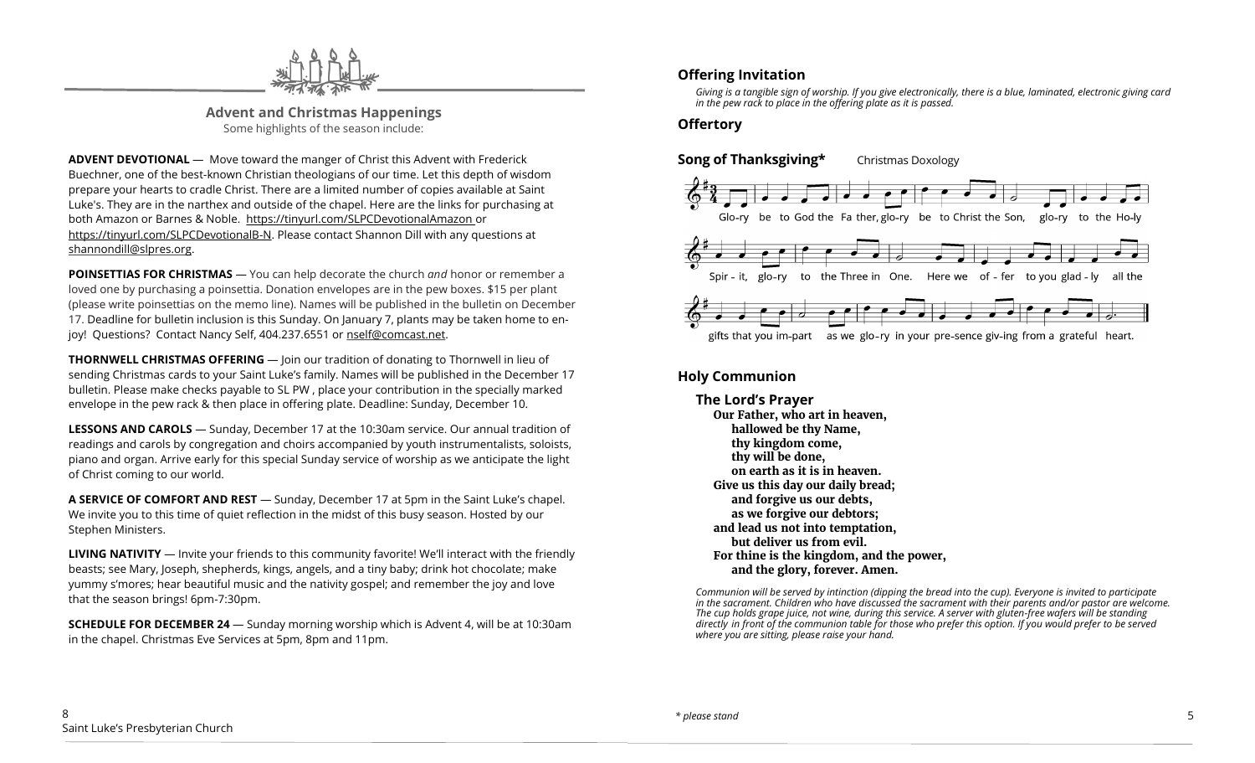

**Advent and Christmas Happenings** Some highlights of the season include:

**ADVENT DEVOTIONAL** — Move toward the manger of Christ this Advent with Frederick Buechner, one of the best-known Christian theologians of our time. Let this depth of wisdom prepare your hearts to cradle Christ. There are a limited number of copies available at Saint Luke's. They are in the narthex and outside of the chapel. Here are the links for purchasing at both Amazon or Barnes & Noble. https://tinyurl.com/SLPCDevotionalAmazon or https://tinyurl.com/SLPCDevotionalB-N. Please contact Shannon Dill with any questions at [shannondill@slpres.org.](mailto:shannondill@slpres.org)

**POINSETTIAS FOR CHRISTMAS** — You can help decorate the church *and* honor or remember a loved one by purchasing a poinsettia. Donation envelopes are in the pew boxes. \$15 per plant (please write poinsettias on the memo line). Names will be published in the bulletin on December 17. Deadline for bulletin inclusion is this Sunday. On January 7, plants may be taken home to enjoy! Questions? Contact Nancy Self, 404.237.6551 or nself@comcast.net.

**THORNWELL CHRISTMAS OFFERING** — Join our tradition of donating to Thornwell in lieu of sending Christmas cards to your Saint Luke's family. Names will be published in the December 17 bulletin. Please make checks payable to SL PW , place your contribution in the specially marked envelope in the pew rack & then place in offering plate. Deadline: Sunday, December 10.

**LESSONS AND CAROLS** — Sunday, December 17 at the 10:30am service. Our annual tradition of readings and carols by congregation and choirs accompanied by youth instrumentalists, soloists, piano and organ. Arrive early for this special Sunday service of worship as we anticipate the light of Christ coming to our world.

**A SERVICE OF COMFORT AND REST** — Sunday, December 17 at 5pm in the Saint Luke's chapel. We invite you to this time of quiet reflection in the midst of this busy season. Hosted by our Stephen Ministers.

**LIVING NATIVITY** — Invite your friends to this community favorite! We'll interact with the friendly beasts; see Mary, Joseph, shepherds, kings, angels, and a tiny baby; drink hot chocolate; make yummy s'mores; hear beautiful music and the nativity gospel; and remember the joy and love that the season brings! 6pm-7:30pm.

**SCHEDULE FOR DECEMBER 24** — Sunday morning worship which is Advent 4, will be at 10:30am in the chapel. Christmas Eve Services at 5pm, 8pm and 11pm.

# **Offering Invitation**

*Giving is a tangible sign of worship. If you give electronically, there is a blue, laminated, electronic giving card in the pew rack to place in the offering plate as it is passed.*

# **Offertory**



# **Holy Communion**

**The Lord's Prayer Our Father, who art in heaven, hallowed be thy Name, thy kingdom come, thy will be done, on earth as it is in heaven. Give us this day our daily bread; and forgive us our debts, as we forgive our debtors; and lead us not into temptation, but deliver us from evil. For thine is the kingdom, and the power, and the glory, forever. Amen.**

*Communion will be served by intinction (dipping the bread into the cup). Everyone is invited to participate in the sacrament. Children who have discussed the sacrament with their parents and/or pastor are welcome. The cup holds grape juice, not wine, during this service. A server with gluten-free wafers will be standing directly in front of the communion table for those who prefer this option. If you would prefer to be served where you are sitting, please raise your hand.*